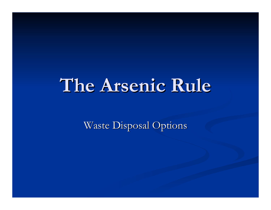# **The Arsenic Rule The Arsenic Rule**

Waste Disposal Options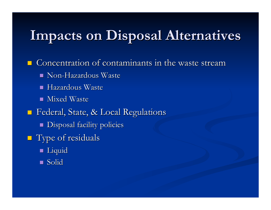## **Impacts on Disposal Alternatives Impacts on Disposal Alternatives**

Concentration of contaminants in the waste stream

- $\blacksquare$  Non-Hazardous Waste
- $\mathbb{R}^2$ Hazardous Waste
- $\blacksquare$  Mixed Waste
- $\blacksquare$ Federal, State, & Local Regulations
	- **Disposal facility policies**
- **Type of residuals** 
	- Liquid
	- Solid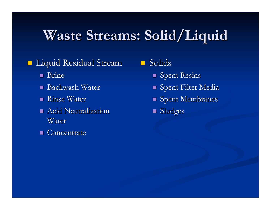# **Waste Streams: Solid/Liquid Waste Streams: Solid/Liquid**

### Liquid Residual Stream Liquid Residual Stream

- **B**rine
- $\blacksquare$  Backwash Water
- $\blacksquare$  Rinse Water
- $\blacksquare$  Acid Neutralization Water
- Concentrate Concentrate

#### $\blacksquare$ Solids

- $\blacksquare$  Spent Resins
- $\blacksquare$  Spent Filter Media
- $\blacksquare$  Spent Membranes
- **Sludges**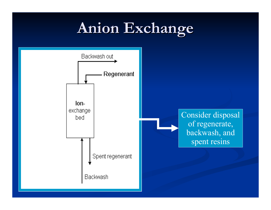# **Anion Exchange Anion Exchange**

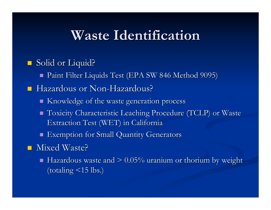### **Waste Identification Waste Identification**

#### $\blacksquare$ Solid or Liquid?

Paint Filter Liquids Test (EPA SW 846 Method 9095) Paint Filter Liquids Test (EPA SW 846 Method 9095)

#### **-** Hazardous or Non-Hazardous?

- $\blacksquare$  Knowledge of the waste generation process
- П Toxicity Characteristic Leaching Procedure (TCLP) or Waste Extraction Test (WET) in California
- $\blacksquare$  Exemption for Small Quantity Generators

#### ■ Mixed Waste?

П Hazardous waste and  $> 0.05\%$  uranium or thorium by weight (totaling  $\langle 15 \text{ lbs.} \rangle$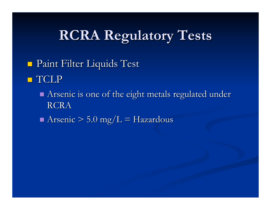# **RCRA Regulatory Tests RCRA Regulatory Tests**

- Paint Filter Liquids Test Paint Filter Liquids Test
- **TCLP** 
	- Arsenic is one of the eight metals regulated under RCRA
	- Arsenic  $> 5.0$  mg/L = Hazardous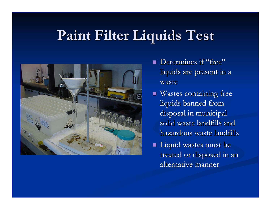## **Paint Filter Liquids Test Paint Filter Liquids Test**



- $\mathcal{L}$ Determines if "free" liquids are present in a waste
- $\blacksquare$  Wastes containing free liquids banned from disposal in municipal solid waste landfills and hazardous waste landfills
- $\blacksquare$  Liquid wastes must be treated or disposed in an alternative manner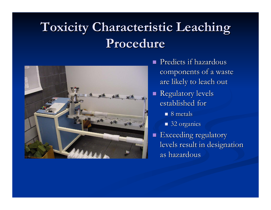### **Toxicity Characteristic Leaching Toxicity Characteristic Leaching Procedure Procedure**



- $\mathcal{L}$ Predicts if hazardous components of a waste are likely to leach out
- $\mathbb{R}^2$ **Regulatory levels** established for
	- $\blacksquare$  8 metals
	- 32 organics
- п Exceeding regulatory levels result in designation as hazardous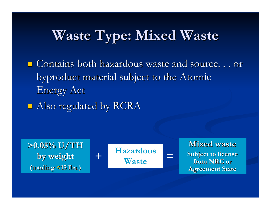# **Waste Type: Mixed Waste Waste Type: Mixed Waste**

 $\blacksquare$  Contains both hazardous waste and source. . . or byproduct material subject to the Atomic byproduct material subject to the Atomic Energy Act

 $\blacksquare$  Also regulated by RCRA

**Mixed waste Subject to license** from NRC or **Agreement State 15 lbs.) Agreement State >0.05% U/TH >0.05% U/TH by weight by weight (totaling (totaling <15 lbs.) Hazardous Waste+=**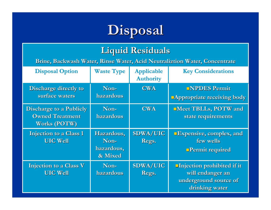

### **Liquid Residuals Liquid Residuals**

**Brine, Backwash Water, Rinse Water, Acid Brine, Backwash Water, Rinse Water, Acid Neutraliztion Neutraliztion Water, Concentrate Water, Concentrate**

| <b>Disposal Option</b>                                                          | <b>Waste Type</b>                           | <b>Applicable</b><br><b>Authority</b> | <b>Key Considerations</b>                                                                        |
|---------------------------------------------------------------------------------|---------------------------------------------|---------------------------------------|--------------------------------------------------------------------------------------------------|
| <b>Discharge directly to</b><br>surface waters                                  | Non-<br>hazardous                           | <b>CWA</b>                            | <b>NPDES Permit</b><br><b>Appropriate receiving body</b>                                         |
| <b>Discharge to a Publicly</b><br><b>Owned Treatment</b><br><b>Works (POTW)</b> | Non-<br>hazardous                           | <b>CWA</b>                            | <b>Neet TBLLs, POTW and</b><br>state requirements                                                |
| <b>Injection to a Class 1</b><br><b>UIC Well</b>                                | Hazardous,<br>Non-<br>hazardous,<br>& Mixed | <b>SDWA/UIC</b><br>Regs.              | <b>Expensive, complex, and</b><br>few wells<br><b>Permit required</b>                            |
| Injection to a Class V<br><b>UIC Well</b>                                       | Non-<br>hazardous                           | <b>SDWA/UIC</b><br>Regs.              | <b>Injection prohibited if it</b><br>will endanger an<br>underground source of<br>drinking water |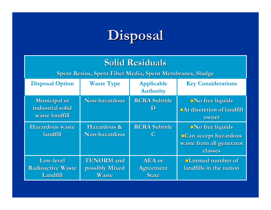

#### **Solid Residuals Solid Residuals**

**Spent Resins, Spent Filter Me Spent Resins, Spent Filter Media, Spent Membranes, Sludge dia, Spent Membranes, Sludge**

| <b>Disposal Option</b>                                    | <b>Waste Type</b>                            | <b>Applicable</b><br><b>Authority</b>      | <b>Key Considerations</b>                                                                     |
|-----------------------------------------------------------|----------------------------------------------|--------------------------------------------|-----------------------------------------------------------------------------------------------|
| <b>Municipal or</b><br>industrial solid<br>waste landfill | <b>Non-hazardous</b>                         | <b>RCRA Subtitle</b><br>ID                 | $\blacksquare$ No free liquids<br>DAt discretion of landfill<br>owner                         |
| <b>Hazardous waste</b><br>landfill                        | Hazardous &<br>Non-hazardous                 | <b>RCRA Subtitle</b>                       | $\blacksquare$ No free liquids<br>Can accept hazardous<br>waste from all generator<br>classes |
| <b>Low-level</b><br><b>Radioactive Waste</b><br>Landfill  | <b>TENORM</b> and<br>possibly Mixed<br>Waste | <b>AEA</b> or<br><b>Agreement</b><br>State | <b>Limited number of</b><br>landfills in the nation                                           |